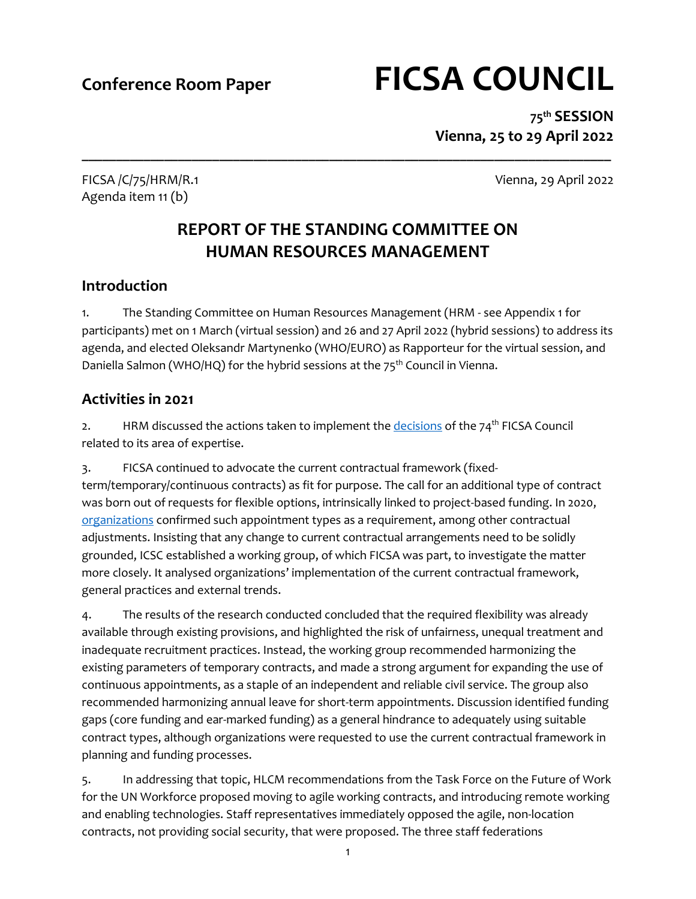# **Conference Room Paper FICSA COUNCIL**

**75 th SESSION Vienna, 25 to 29 April 2022**

Agenda item 11 (b)

FICSA /C/75/HRM/R.1 Vienna, 29 April 2022

# **REPORT OF THE STANDING COMMITTEE ON HUMAN RESOURCES MANAGEMENT**

**\_\_\_\_\_\_\_\_\_\_\_\_\_\_\_\_\_\_\_\_\_\_\_\_\_\_\_\_\_\_\_\_\_\_\_\_\_\_\_\_\_\_\_\_\_\_\_\_\_\_\_\_\_\_\_\_\_\_\_\_\_\_\_\_\_\_\_\_\_\_\_\_\_\_\_\_\_**

# **Introduction**

1. The Standing Committee on Human Resources Management (HRM - see Appendix 1 for participants) met on 1 March (virtual session) and 26 and 27 April 2022 (hybrid sessions) to address its agenda, and elected Oleksandr Martynenko (WHO/EURO) as Rapporteur for the virtual session, and Daniella Salmon (WHO/HQ) for the hybrid sessions at the 75<sup>th</sup> Council in Vienna.

# **Activities in 2021**

2. HRM discussed the actions taken to implement th[e decisions](https://ficsa.org/fileadmin/user_upload/75th_Council_Documents/IOD_Action_Taken_16032022.pdf) of the  $74<sup>th</sup>$  FICSA Council related to its area of expertise.

3. FICSA continued to advocate the current contractual framework (fixedterm/temporary/continuous contracts) as fit for purpose. The call for an additional type of contract was born out of requests for flexible options, intrinsically linked to project-based funding. In 2020, [organizations](https://ficsa.org/fileadmin/user_upload/ICSC_Appointment_Types_and_Staff_Categories.pdf) confirmed such appointment types as a requirement, among other contractual adjustments. Insisting that any change to current contractual arrangements need to be solidly grounded, ICSC established a working group, of which FICSA was part, to investigate the matter more closely. It analysed organizations' implementation of the current contractual framework, general practices and external trends.

4. The results of the research conducted concluded that the required flexibility was already available through existing provisions, and highlighted the risk of unfairness, unequal treatment and inadequate recruitment practices. Instead, the working group recommended harmonizing the existing parameters of temporary contracts, and made a strong argument for expanding the use of continuous appointments, as a staple of an independent and reliable civil service. The group also recommended harmonizing annual leave for short-term appointments. Discussion identified funding gaps (core funding and ear-marked funding) as a general hindrance to adequately using suitable contract types, although organizations were requested to use the current contractual framework in planning and funding processes.

5. In addressing that topic, HLCM recommendations from the Task Force on the Future of Work for the UN Workforce proposed moving to agile working contracts, and introducing remote working and enabling technologies. Staff representatives immediately opposed the agile, non-location contracts, not providing social security, that were proposed. The three staff federations

1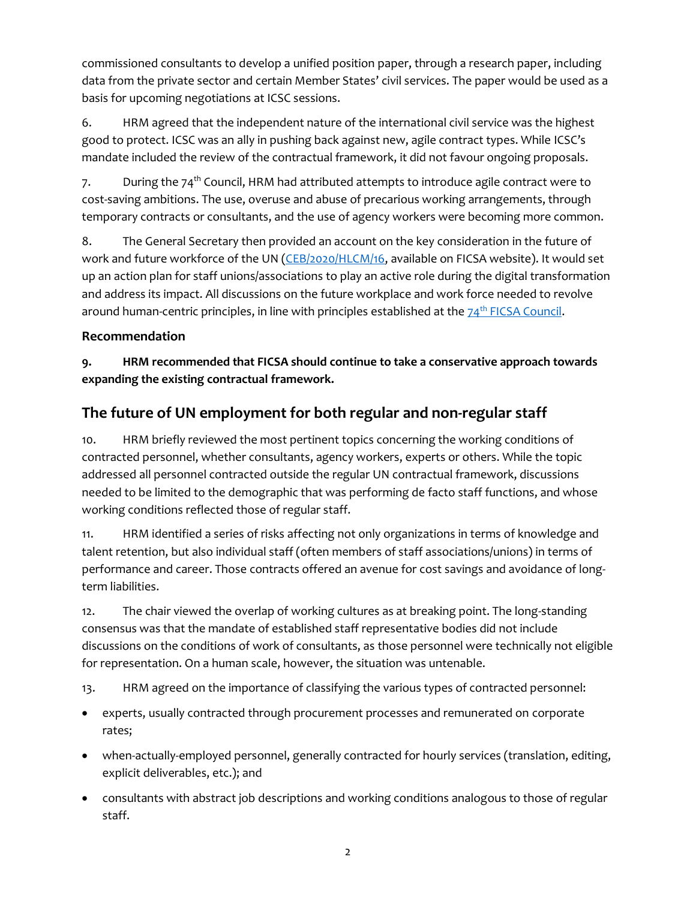commissioned consultants to develop a unified position paper, through a research paper, including data from the private sector and certain Member States' civil services. The paper would be used as a basis for upcoming negotiations at ICSC sessions.

6. HRM agreed that the independent nature of the international civil service was the highest good to protect. ICSC was an ally in pushing back against new, agile contract types. While ICSC's mandate included the review of the contractual framework, it did not favour ongoing proposals.

7. During the 74<sup>th</sup> Council, HRM had attributed attempts to introduce agile contract were to cost-saving ambitions. The use, overuse and abuse of precarious working arrangements, through temporary contracts or consultants, and the use of agency workers were becoming more common.

8. The General Secretary then provided an account on the key consideration in the future of work and future workforce of the UN [\(CEB/2020/HLCM/16,](https://ficsa.org/fileadmin/user_upload/75th_Council_Documents/CEB_2020_HLCM_16_Discussion_Paper_-_Interim_Report_of_the_CEB_Task_Force_on_Future_of_the_UN_System_Workforce.pdf) available on FICSA website). It would set up an action plan for staff unions/associations to play an active role during the digital transformation and address its impact. All discussions on the future workplace and work force needed to revolve around human-centric principles, in line with principles established at the  $74<sup>th</sup> FICSA Council$ .

#### **Recommendation**

**9. HRM recommended that FICSA should continue to take a conservative approach towards expanding the existing contractual framework.**

# **The future of UN employment for both regular and non-regular staff**

10. HRM briefly reviewed the most pertinent topics concerning the working conditions of contracted personnel, whether consultants, agency workers, experts or others. While the topic addressed all personnel contracted outside the regular UN contractual framework, discussions needed to be limited to the demographic that was performing de facto staff functions, and whose working conditions reflected those of regular staff.

11. HRM identified a series of risks affecting not only organizations in terms of knowledge and talent retention, but also individual staff (often members of staff associations/unions) in terms of performance and career. Those contracts offered an avenue for cost savings and avoidance of longterm liabilities.

12. The chair viewed the overlap of working cultures as at breaking point. The long-standing consensus was that the mandate of established staff representative bodies did not include discussions on the conditions of work of consultants, as those personnel were technically not eligible for representation. On a human scale, however, the situation was untenable.

13. HRM agreed on the importance of classifying the various types of contracted personnel:

- experts, usually contracted through procurement processes and remunerated on corporate rates;
- when-actually-employed personnel, generally contracted for hourly services (translation, editing, explicit deliverables, etc.); and
- consultants with abstract job descriptions and working conditions analogous to those of regular staff.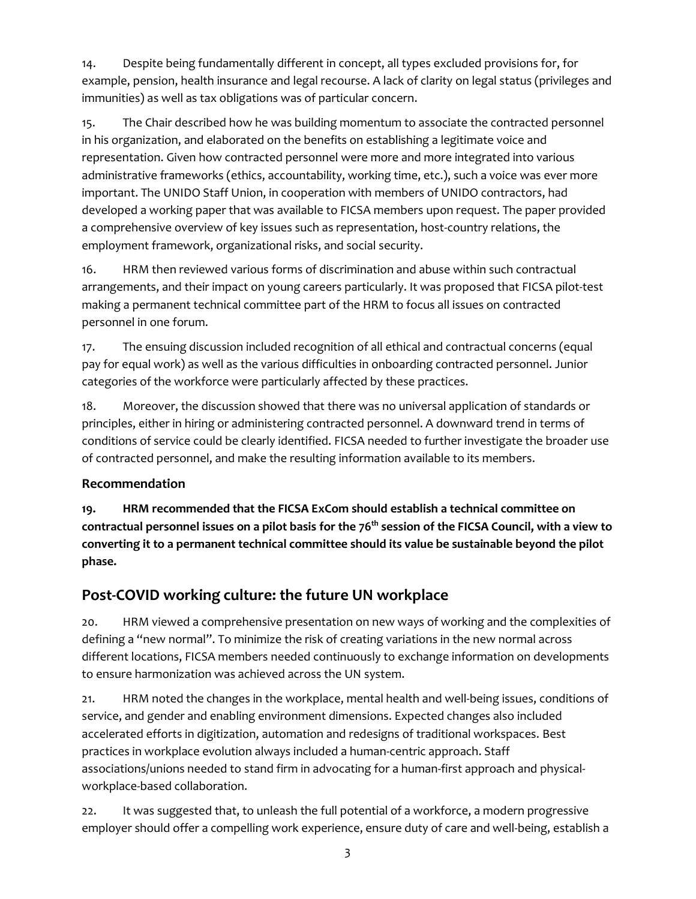14. Despite being fundamentally different in concept, all types excluded provisions for, for example, pension, health insurance and legal recourse. A lack of clarity on legal status (privileges and immunities) as well as tax obligations was of particular concern.

15. The Chair described how he was building momentum to associate the contracted personnel in his organization, and elaborated on the benefits on establishing a legitimate voice and representation. Given how contracted personnel were more and more integrated into various administrative frameworks (ethics, accountability, working time, etc.), such a voice was ever more important. The UNIDO Staff Union, in cooperation with members of UNIDO contractors, had developed a working paper that was available to FICSA members upon request. The paper provided a comprehensive overview of key issues such as representation, host-country relations, the employment framework, organizational risks, and social security.

16. HRM then reviewed various forms of discrimination and abuse within such contractual arrangements, and their impact on young careers particularly. It was proposed that FICSA pilot-test making a permanent technical committee part of the HRM to focus all issues on contracted personnel in one forum.

17. The ensuing discussion included recognition of all ethical and contractual concerns (equal pay for equal work) as well as the various difficulties in onboarding contracted personnel. Junior categories of the workforce were particularly affected by these practices.

18. Moreover, the discussion showed that there was no universal application of standards or principles, either in hiring or administering contracted personnel. A downward trend in terms of conditions of service could be clearly identified. FICSA needed to further investigate the broader use of contracted personnel, and make the resulting information available to its members.

#### **Recommendation**

**19. HRM recommended that the FICSA ExCom should establish a technical committee on contractual personnel issues on a pilot basis for the 76th session of the FICSA Council, with a view to converting it to a permanent technical committee should its value be sustainable beyond the pilot phase.**

# **Post-COVID working culture: the future UN workplace**

20. HRM viewed a comprehensive presentation on new ways of working and the complexities of defining a "new normal". To minimize the risk of creating variations in the new normal across different locations, FICSA members needed continuously to exchange information on developments to ensure harmonization was achieved across the UN system.

21. HRM noted the changes in the workplace, mental health and well-being issues, conditions of service, and gender and enabling environment dimensions. Expected changes also included accelerated efforts in digitization, automation and redesigns of traditional workspaces. Best practices in workplace evolution always included a human-centric approach. Staff associations/unions needed to stand firm in advocating for a human-first approach and physicalworkplace-based collaboration.

22. It was suggested that, to unleash the full potential of a workforce, a modern progressive employer should offer a compelling work experience, ensure duty of care and well-being, establish a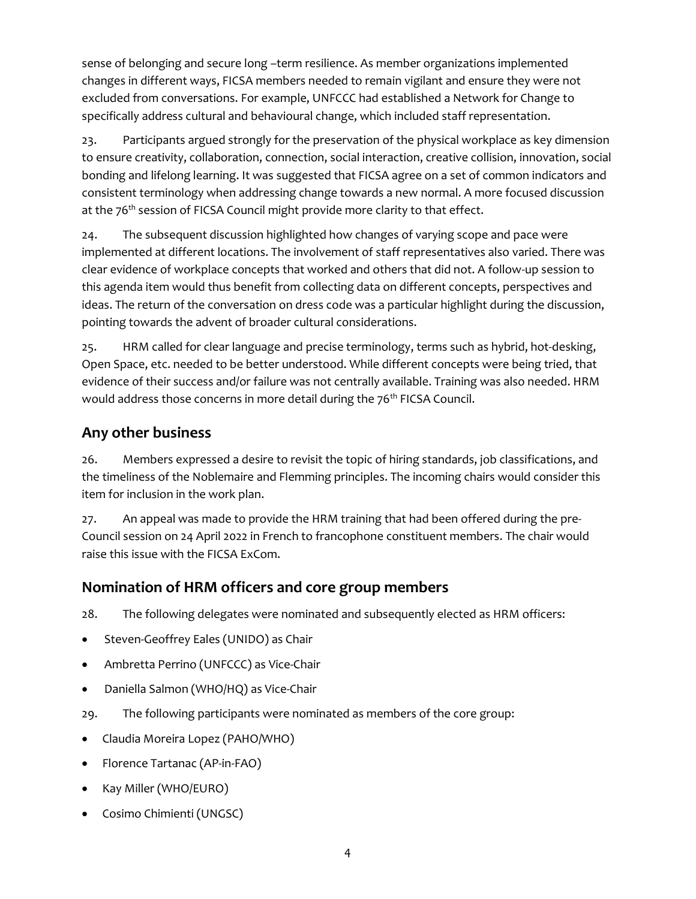sense of belonging and secure long –term resilience. As member organizations implemented changes in different ways, FICSA members needed to remain vigilant and ensure they were not excluded from conversations. For example, UNFCCC had established a Network for Change to specifically address cultural and behavioural change, which included staff representation.

23. Participants argued strongly for the preservation of the physical workplace as key dimension to ensure creativity, collaboration, connection, social interaction, creative collision, innovation, social bonding and lifelong learning. It was suggested that FICSA agree on a set of common indicators and consistent terminology when addressing change towards a new normal. A more focused discussion at the 76<sup>th</sup> session of FICSA Council might provide more clarity to that effect.

24. The subsequent discussion highlighted how changes of varying scope and pace were implemented at different locations. The involvement of staff representatives also varied. There was clear evidence of workplace concepts that worked and others that did not. A follow-up session to this agenda item would thus benefit from collecting data on different concepts, perspectives and ideas. The return of the conversation on dress code was a particular highlight during the discussion, pointing towards the advent of broader cultural considerations.

25. HRM called for clear language and precise terminology, terms such as hybrid, hot-desking, Open Space, etc. needed to be better understood. While different concepts were being tried, that evidence of their success and/or failure was not centrally available. Training was also needed. HRM would address those concerns in more detail during the 76<sup>th</sup> FICSA Council.

# **Any other business**

26. Members expressed a desire to revisit the topic of hiring standards, job classifications, and the timeliness of the Noblemaire and Flemming principles. The incoming chairs would consider this item for inclusion in the work plan.

27. An appeal was made to provide the HRM training that had been offered during the pre-Council session on 24 April 2022 in French to francophone constituent members. The chair would raise this issue with the FICSA ExCom.

### **Nomination of HRM officers and core group members**

28. The following delegates were nominated and subsequently elected as HRM officers:

- Steven-Geoffrey Eales (UNIDO) as Chair
- Ambretta Perrino (UNFCCC) as Vice-Chair
- Daniella Salmon (WHO/HQ) as Vice-Chair
- 29. The following participants were nominated as members of the core group:
- Claudia Moreira Lopez (PAHO/WHO)
- Florence Tartanac (AP-in-FAO)
- Kay Miller (WHO/EURO)
- Cosimo Chimienti (UNGSC)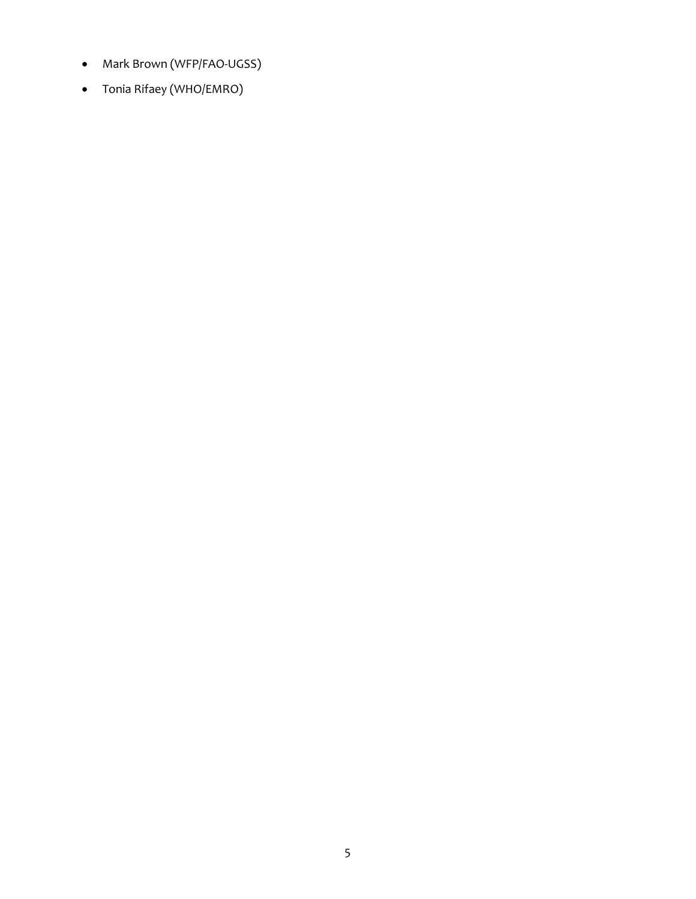- Mark Brown (WFP/FAO-UGSS)
- Tonia Rifaey (WHO/EMRO)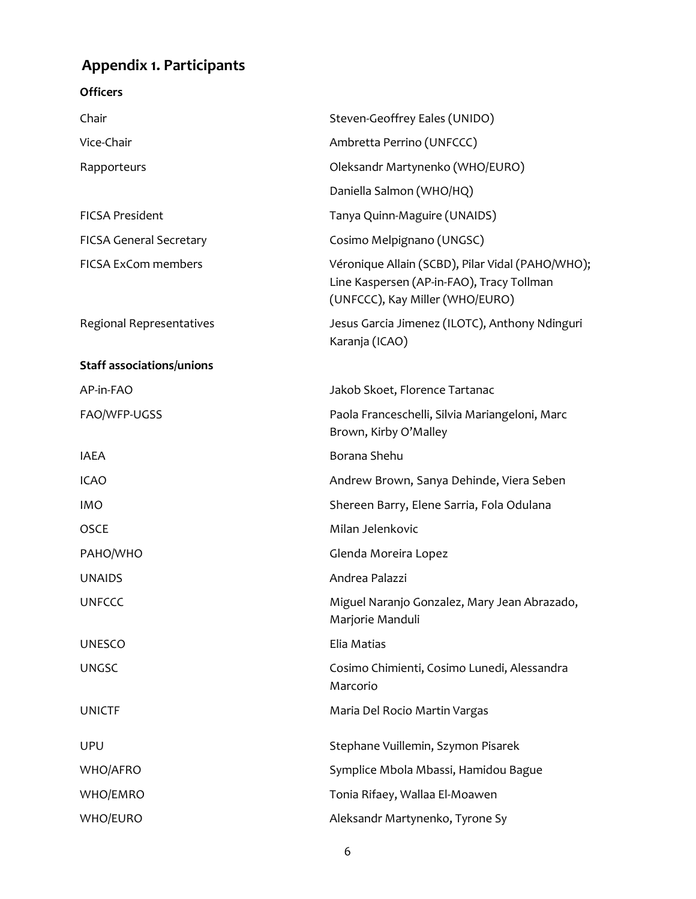# **Appendix 1. Participants**

| <b>Officers</b>                  |                                                                                                                                  |
|----------------------------------|----------------------------------------------------------------------------------------------------------------------------------|
| Chair                            | Steven-Geoffrey Eales (UNIDO)                                                                                                    |
| Vice-Chair                       | Ambretta Perrino (UNFCCC)                                                                                                        |
| Rapporteurs                      | Oleksandr Martynenko (WHO/EURO)                                                                                                  |
|                                  | Daniella Salmon (WHO/HQ)                                                                                                         |
| <b>FICSA President</b>           | Tanya Quinn-Maguire (UNAIDS)                                                                                                     |
| <b>FICSA General Secretary</b>   | Cosimo Melpignano (UNGSC)                                                                                                        |
| <b>FICSA ExCom members</b>       | Véronique Allain (SCBD), Pilar Vidal (PAHO/WHO);<br>Line Kaspersen (AP-in-FAO), Tracy Tollman<br>(UNFCCC), Kay Miller (WHO/EURO) |
| Regional Representatives         | Jesus Garcia Jimenez (ILOTC), Anthony Ndinguri<br>Karanja (ICAO)                                                                 |
| <b>Staff associations/unions</b> |                                                                                                                                  |
| AP-in-FAO                        | Jakob Skoet, Florence Tartanac                                                                                                   |
| FAO/WFP-UGSS                     | Paola Franceschelli, Silvia Mariangeloni, Marc<br>Brown, Kirby O'Malley                                                          |
| IAEA                             | Borana Shehu                                                                                                                     |
| <b>ICAO</b>                      | Andrew Brown, Sanya Dehinde, Viera Seben                                                                                         |
| <b>IMO</b>                       | Shereen Barry, Elene Sarria, Fola Odulana                                                                                        |
| <b>OSCE</b>                      | Milan Jelenkovic                                                                                                                 |
| PAHO/WHO                         | Glenda Moreira Lopez                                                                                                             |
| <b>UNAIDS</b>                    | Andrea Palazzi                                                                                                                   |
| <b>UNFCCC</b>                    | Miguel Naranjo Gonzalez, Mary Jean Abrazado,<br>Marjorie Manduli                                                                 |
| <b>UNESCO</b>                    | Elia Matias                                                                                                                      |
| <b>UNGSC</b>                     | Cosimo Chimienti, Cosimo Lunedi, Alessandra<br>Marcorio                                                                          |
| <b>UNICTF</b>                    | Maria Del Rocio Martin Vargas                                                                                                    |
| <b>UPU</b>                       | Stephane Vuillemin, Szymon Pisarek                                                                                               |
| <b>WHO/AFRO</b>                  | Symplice Mbola Mbassi, Hamidou Bague                                                                                             |
| WHO/EMRO                         | Tonia Rifaey, Wallaa El-Moawen                                                                                                   |
| <b>WHO/EURO</b>                  | Aleksandr Martynenko, Tyrone Sy                                                                                                  |